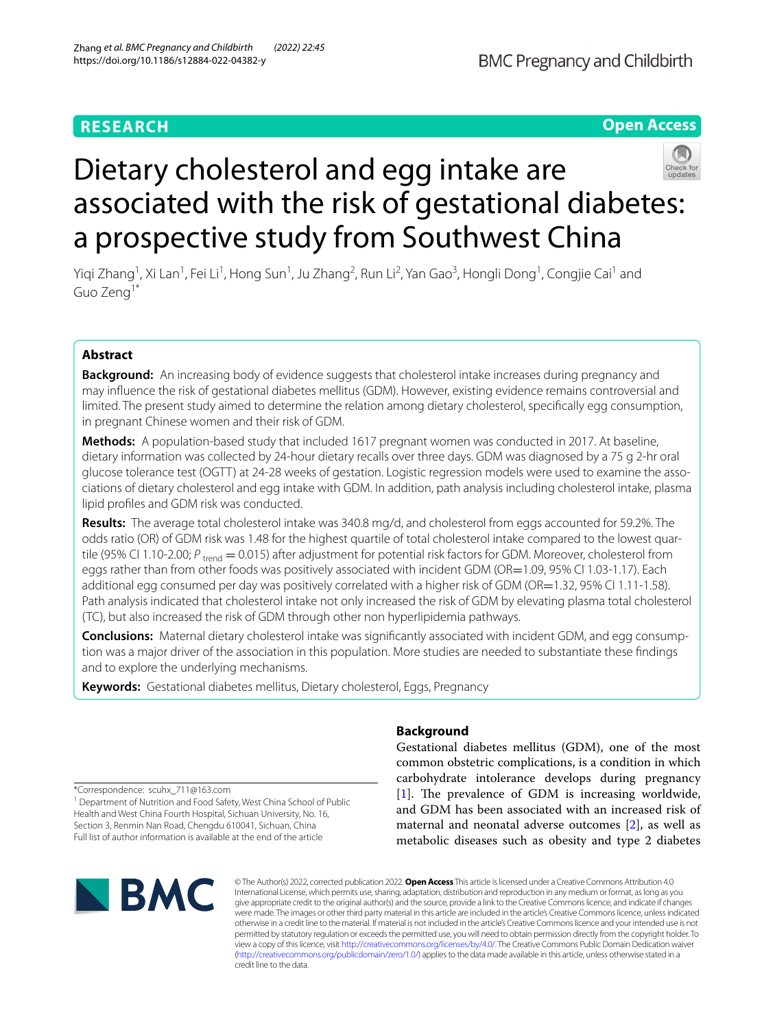# **RESEARCH**

# **Open Access**



# Dietary cholesterol and egg intake are associated with the risk of gestational diabetes: a prospective study from Southwest China

Yiqi Zhang<sup>1</sup>, Xi Lan<sup>1</sup>, Fei Li<sup>1</sup>, Hong Sun<sup>1</sup>, Ju Zhang<sup>2</sup>, Run Li<sup>2</sup>, Yan Gao<sup>3</sup>, Hongli Dong<sup>1</sup>, Congjie Cai<sup>1</sup> and Guo Zeng1\*

# **Abstract**

**Background:** An increasing body of evidence suggests that cholesterol intake increases during pregnancy and may infuence the risk of gestational diabetes mellitus (GDM). However, existing evidence remains controversial and limited. The present study aimed to determine the relation among dietary cholesterol, specifcally egg consumption, in pregnant Chinese women and their risk of GDM.

**Methods:** A population-based study that included 1617 pregnant women was conducted in 2017. At baseline, dietary information was collected by 24-hour dietary recalls over three days. GDM was diagnosed by a 75 g 2-hr oral glucose tolerance test (OGTT) at 24-28 weeks of gestation. Logistic regression models were used to examine the associations of dietary cholesterol and egg intake with GDM. In addition, path analysis including cholesterol intake, plasma lipid profles and GDM risk was conducted.

**Results:** The average total cholesterol intake was 340.8 mg/d, and cholesterol from eggs accounted for 59.2%. The odds ratio (OR) of GDM risk was 1.48 for the highest quartile of total cholesterol intake compared to the lowest quartile (95% CI 1.10-2.00; *P*<sub>trend</sub> = 0.015) after adjustment for potential risk factors for GDM. Moreover, cholesterol from eggs rather than from other foods was positively associated with incident GDM (OR=1.09, 95% CI 1.03-1.17). Each additional egg consumed per day was positively correlated with a higher risk of GDM (OR=1.32, 95% CI 1.11-1.58). Path analysis indicated that cholesterol intake not only increased the risk of GDM by elevating plasma total cholesterol (TC), but also increased the risk of GDM through other non hyperlipidemia pathways.

**Conclusions:** Maternal dietary cholesterol intake was signifcantly associated with incident GDM, and egg consumption was a major driver of the association in this population. More studies are needed to substantiate these fndings and to explore the underlying mechanisms.

**Keywords:** Gestational diabetes mellitus, Dietary cholesterol, Eggs, Pregnancy

# **Background**

Gestational diabetes mellitus (GDM), one of the most common obstetric complications, is a condition in which carbohydrate intolerance develops during pregnancy [[1\]](#page-9-0). The prevalence of GDM is increasing worldwide, and GDM has been associated with an increased risk of maternal and neonatal adverse outcomes [[2\]](#page-9-1), as well as metabolic diseases such as obesity and type 2 diabetes

\*Correspondence: scuhx\_711@163.com

<sup>1</sup> Department of Nutrition and Food Safety, West China School of Public Health and West China Fourth Hospital, Sichuan University, No. 16, Section 3, Renmin Nan Road, Chengdu 610041, Sichuan, China Full list of author information is available at the end of the article



© The Author(s) 2022, corrected publication 2022. **Open Access** This article is licensed under a Creative Commons Attribution 4.0 International License, which permits use, sharing, adaptation, distribution and reproduction in any medium or format, as long as you give appropriate credit to the original author(s) and the source, provide a link to the Creative Commons licence, and indicate if changes were made. The images or other third party material in this article are included in the article's Creative Commons licence, unless indicated otherwise in a credit line to the material. If material is not included in the article's Creative Commons licence and your intended use is not permitted by statutory regulation or exceeds the permitted use, you will need to obtain permission directly from the copyright holder. To view a copy of this licence, visit [http://creativecommons.org/licenses/by/4.0/.](http://creativecommons.org/licenses/by/4.0/) The Creative Commons Public Domain Dedication waiver [\(http://creativecommons.org/publicdomain/zero/1.0/\)](http://creativecommons.org/publicdomain/zero/1.0/) applies to the data made available in this article, unless otherwise stated in a credit line to the data.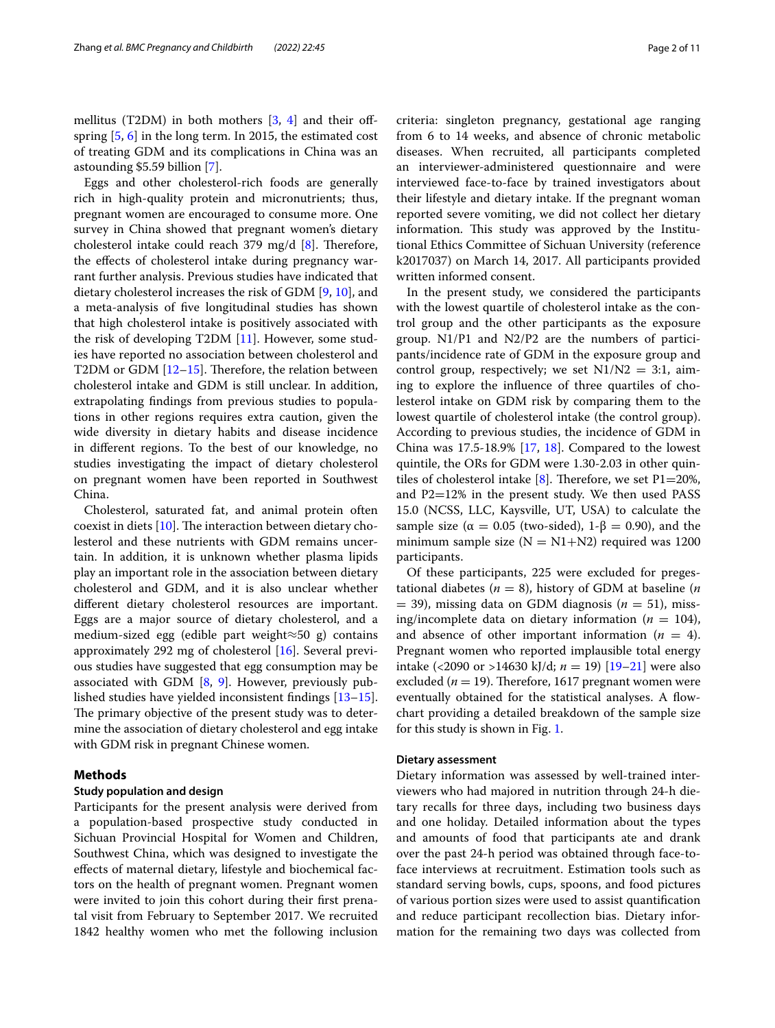mellitus (T2DM) in both mothers [\[3](#page-9-2), [4\]](#page-9-3) and their ofspring [\[5](#page-9-4), [6\]](#page-9-5) in the long term. In 2015, the estimated cost of treating GDM and its complications in China was an astounding \$5.59 billion [\[7](#page-9-6)].

Eggs and other cholesterol-rich foods are generally rich in high-quality protein and micronutrients; thus, pregnant women are encouraged to consume more. One survey in China showed that pregnant women's dietary cholesterol intake could reach 379 mg/d  $[8]$  $[8]$ . Therefore, the effects of cholesterol intake during pregnancy warrant further analysis. Previous studies have indicated that dietary cholesterol increases the risk of GDM [\[9,](#page-9-8) [10](#page-9-9)], and a meta-analysis of fve longitudinal studies has shown that high cholesterol intake is positively associated with the risk of developing T2DM [\[11](#page-9-10)]. However, some studies have reported no association between cholesterol and T2DM or GDM  $[12–15]$  $[12–15]$ . Therefore, the relation between cholesterol intake and GDM is still unclear. In addition, extrapolating fndings from previous studies to populations in other regions requires extra caution, given the wide diversity in dietary habits and disease incidence in diferent regions. To the best of our knowledge, no studies investigating the impact of dietary cholesterol on pregnant women have been reported in Southwest China.

Cholesterol, saturated fat, and animal protein often coexist in diets  $[10]$  $[10]$  $[10]$ . The interaction between dietary cholesterol and these nutrients with GDM remains uncertain. In addition, it is unknown whether plasma lipids play an important role in the association between dietary cholesterol and GDM, and it is also unclear whether diferent dietary cholesterol resources are important. Eggs are a major source of dietary cholesterol, and a medium-sized egg (edible part weight≈50 g) contains approximately 292 mg of cholesterol [[16\]](#page-10-2). Several previous studies have suggested that egg consumption may be associated with GDM [\[8](#page-9-7), [9\]](#page-9-8). However, previously published studies have yielded inconsistent fndings [[13](#page-10-3)[–15](#page-10-1)]. The primary objective of the present study was to determine the association of dietary cholesterol and egg intake with GDM risk in pregnant Chinese women.

# **Methods**

# **Study population and design**

Participants for the present analysis were derived from a population-based prospective study conducted in Sichuan Provincial Hospital for Women and Children, Southwest China, which was designed to investigate the efects of maternal dietary, lifestyle and biochemical factors on the health of pregnant women. Pregnant women were invited to join this cohort during their first prenatal visit from February to September 2017. We recruited 1842 healthy women who met the following inclusion criteria: singleton pregnancy, gestational age ranging from 6 to 14 weeks, and absence of chronic metabolic diseases. When recruited, all participants completed an interviewer-administered questionnaire and were interviewed face-to-face by trained investigators about their lifestyle and dietary intake. If the pregnant woman reported severe vomiting, we did not collect her dietary information. This study was approved by the Institutional Ethics Committee of Sichuan University (reference k2017037) on March 14, 2017. All participants provided written informed consent.

In the present study, we considered the participants with the lowest quartile of cholesterol intake as the control group and the other participants as the exposure group. N1/P1 and N2/P2 are the numbers of participants/incidence rate of GDM in the exposure group and control group, respectively; we set  $N1/N2 = 3:1$ , aiming to explore the infuence of three quartiles of cholesterol intake on GDM risk by comparing them to the lowest quartile of cholesterol intake (the control group). According to previous studies, the incidence of GDM in China was  $17.5-18.9\%$  $17.5-18.9\%$  $17.5-18.9\%$  [[17,](#page-10-4) 18]. Compared to the lowest quintile, the ORs for GDM were 1.30-2.03 in other quintiles of cholesterol intake  $[8]$  $[8]$ . Therefore, we set P1=20%, and P2=12% in the present study. We then used PASS 15.0 (NCSS, LLC, Kaysville, UT, USA) to calculate the sample size ( $\alpha = 0.05$  (two-sided), 1- $\beta = 0.90$ ), and the minimum sample size ( $N = N1 + N2$ ) required was 1200 participants.

Of these participants, 225 were excluded for pregestational diabetes ( $n = 8$ ), history of GDM at baseline ( $n$  $=$  39), missing data on GDM diagnosis ( $n = 51$ ), missing/incomplete data on dietary information ( $n = 104$ ), and absence of other important information  $(n = 4)$ . Pregnant women who reported implausible total energy intake (<2090 or >14630 kJ/d; *n* = 19) [\[19](#page-10-6)[–21\]](#page-10-7) were also excluded ( $n = 19$ ). Therefore, 1617 pregnant women were eventually obtained for the statistical analyses. A flowchart providing a detailed breakdown of the sample size for this study is shown in Fig. [1.](#page-2-0)

# **Dietary assessment**

Dietary information was assessed by well-trained interviewers who had majored in nutrition through 24-h dietary recalls for three days, including two business days and one holiday. Detailed information about the types and amounts of food that participants ate and drank over the past 24-h period was obtained through face-toface interviews at recruitment. Estimation tools such as standard serving bowls, cups, spoons, and food pictures of various portion sizes were used to assist quantifcation and reduce participant recollection bias. Dietary information for the remaining two days was collected from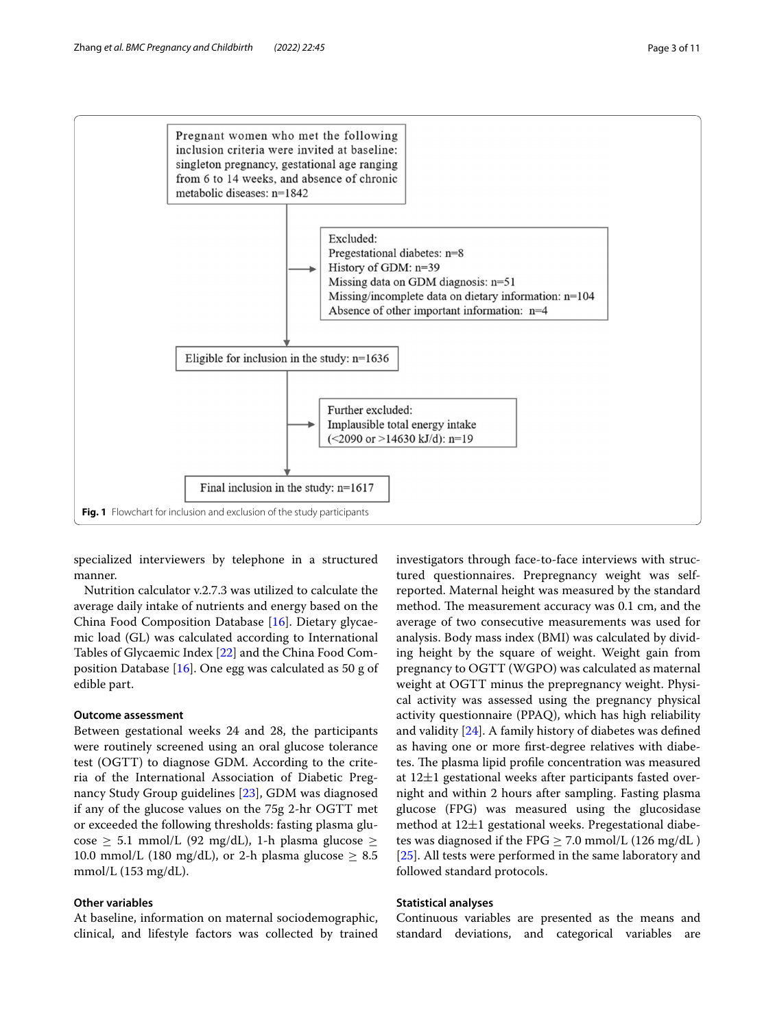

<span id="page-2-0"></span>specialized interviewers by telephone in a structured manner.

Nutrition calculator v.2.7.3 was utilized to calculate the average daily intake of nutrients and energy based on the China Food Composition Database [\[16](#page-10-2)]. Dietary glycaemic load (GL) was calculated according to International Tables of Glycaemic Index [\[22\]](#page-10-8) and the China Food Composition Database [[16\]](#page-10-2). One egg was calculated as 50 g of edible part.

# **Outcome assessment**

Between gestational weeks 24 and 28, the participants were routinely screened using an oral glucose tolerance test (OGTT) to diagnose GDM. According to the criteria of the International Association of Diabetic Pregnancy Study Group guidelines [[23](#page-10-9)], GDM was diagnosed if any of the glucose values on the 75g 2-hr OGTT met or exceeded the following thresholds: fasting plasma glucose  $\geq$  5.1 mmol/L (92 mg/dL), 1-h plasma glucose  $\geq$ 10.0 mmol/L (180 mg/dL), or 2-h plasma glucose  $\geq 8.5$ mmol/L (153 mg/dL).

# **Other variables**

At baseline, information on maternal sociodemographic, clinical, and lifestyle factors was collected by trained investigators through face-to-face interviews with structured questionnaires. Prepregnancy weight was selfreported. Maternal height was measured by the standard method. The measurement accuracy was 0.1 cm, and the average of two consecutive measurements was used for analysis. Body mass index (BMI) was calculated by dividing height by the square of weight. Weight gain from pregnancy to OGTT (WGPO) was calculated as maternal weight at OGTT minus the prepregnancy weight. Physical activity was assessed using the pregnancy physical activity questionnaire (PPAQ), which has high reliability and validity [[24\]](#page-10-10). A family history of diabetes was defned as having one or more frst-degree relatives with diabetes. The plasma lipid profile concentration was measured at 12±1 gestational weeks after participants fasted overnight and within 2 hours after sampling. Fasting plasma glucose (FPG) was measured using the glucosidase method at  $12\pm1$  gestational weeks. Pregestational diabetes was diagnosed if the FPG  $\geq$  7.0 mmol/L (126 mg/dL) [[25\]](#page-10-11). All tests were performed in the same laboratory and followed standard protocols.

# **Statistical analyses**

Continuous variables are presented as the means and standard deviations, and categorical variables are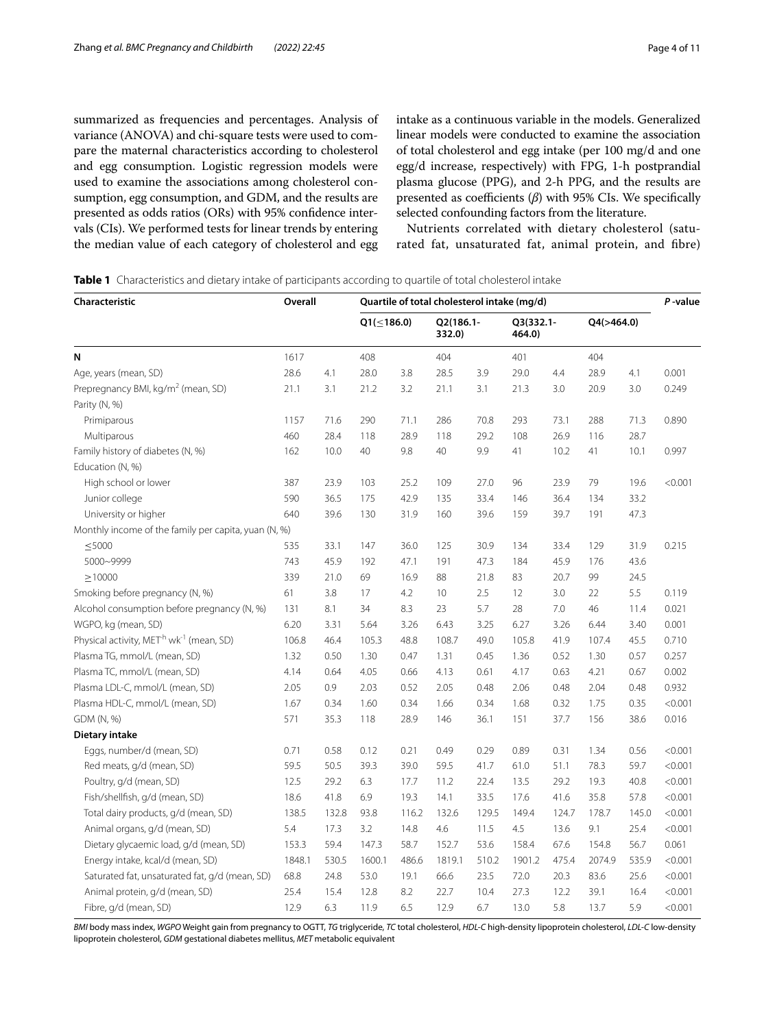summarized as frequencies and percentages. Analysis of variance (ANOVA) and chi-square tests were used to compare the maternal characteristics according to cholesterol and egg consumption. Logistic regression models were used to examine the associations among cholesterol consumption, egg consumption, and GDM, and the results are presented as odds ratios (ORs) with 95% confdence intervals (CIs). We performed tests for linear trends by entering the median value of each category of cholesterol and egg intake as a continuous variable in the models. Generalized linear models were conducted to examine the association of total cholesterol and egg intake (per 100 mg/d and one egg/d increase, respectively) with FPG, 1-h postprandial plasma glucose (PPG), and 2-h PPG, and the results are presented as coefficients (β) with 95% CIs. We specifically selected confounding factors from the literature.

Nutrients correlated with dietary cholesterol (saturated fat, unsaturated fat, animal protein, and fbre)

<span id="page-3-0"></span>**Table 1** Characteristics and dietary intake of participants according to quartile of total cholesterol intake

| Characteristic                                                  | Overall |       | Quartile of total cholesterol intake (mg/d) |       |                     |       |                     |       |            |       | P-value |
|-----------------------------------------------------------------|---------|-------|---------------------------------------------|-------|---------------------|-------|---------------------|-------|------------|-------|---------|
|                                                                 |         |       | $Q1(\leq 186.0)$                            |       | Q2(186.1-<br>332.0) |       | Q3(332.1-<br>464.0) |       | Q4(>464.0) |       |         |
| N                                                               | 1617    |       | 408                                         |       | 404                 |       | 401                 |       | 404        |       |         |
| Age, years (mean, SD)                                           | 28.6    | 4.1   | 28.0                                        | 3.8   | 28.5                | 3.9   | 29.0                | 4.4   | 28.9       | 4.1   | 0.001   |
| Prepregnancy BMI, kg/m <sup>2</sup> (mean, SD)                  | 21.1    | 3.1   | 21.2                                        | 3.2   | 21.1                | 3.1   | 21.3                | 3.0   | 20.9       | 3.0   | 0.249   |
| Parity (N, %)                                                   |         |       |                                             |       |                     |       |                     |       |            |       |         |
| Primiparous                                                     | 1157    | 71.6  | 290                                         | 71.1  | 286                 | 70.8  | 293                 | 73.1  | 288        | 71.3  | 0.890   |
| Multiparous                                                     | 460     | 28.4  | 118                                         | 28.9  | 118                 | 29.2  | 108                 | 26.9  | 116        | 28.7  |         |
| Family history of diabetes (N, %)                               | 162     | 10.0  | 40                                          | 9.8   | 40                  | 9.9   | 41                  | 10.2  | 41         | 10.1  | 0.997   |
| Education (N, %)                                                |         |       |                                             |       |                     |       |                     |       |            |       |         |
| High school or lower                                            | 387     | 23.9  | 103                                         | 25.2  | 109                 | 27.0  | 96                  | 23.9  | 79         | 19.6  | < 0.001 |
| Junior college                                                  | 590     | 36.5  | 175                                         | 42.9  | 135                 | 33.4  | 146                 | 36.4  | 134        | 33.2  |         |
| University or higher                                            | 640     | 39.6  | 130                                         | 31.9  | 160                 | 39.6  | 159                 | 39.7  | 191        | 47.3  |         |
| Monthly income of the family per capita, yuan (N, %)            |         |       |                                             |       |                     |       |                     |       |            |       |         |
| $<$ 5000                                                        | 535     | 33.1  | 147                                         | 36.0  | 125                 | 30.9  | 134                 | 33.4  | 129        | 31.9  | 0.215   |
| 5000~9999                                                       | 743     | 45.9  | 192                                         | 47.1  | 191                 | 47.3  | 184                 | 45.9  | 176        | 43.6  |         |
| $\geq 10000$                                                    | 339     | 21.0  | 69                                          | 16.9  | 88                  | 21.8  | 83                  | 20.7  | 99         | 24.5  |         |
| Smoking before pregnancy (N, %)                                 | 61      | 3.8   | 17                                          | 4.2   | 10                  | 2.5   | 12                  | 3.0   | 22         | 5.5   | 0.119   |
| Alcohol consumption before pregnancy (N, %)                     | 131     | 8.1   | 34                                          | 8.3   | 23                  | 5.7   | 28                  | 7.0   | 46         | 11.4  | 0.021   |
| WGPO, kg (mean, SD)                                             | 6.20    | 3.31  | 5.64                                        | 3.26  | 6.43                | 3.25  | 6.27                | 3.26  | 6.44       | 3.40  | 0.001   |
| Physical activity, MET <sup>h</sup> wk <sup>-1</sup> (mean, SD) | 106.8   | 46.4  | 105.3                                       | 48.8  | 108.7               | 49.0  | 105.8               | 41.9  | 107.4      | 45.5  | 0.710   |
| Plasma TG, mmol/L (mean, SD)                                    | 1.32    | 0.50  | 1.30                                        | 0.47  | 1.31                | 0.45  | 1.36                | 0.52  | 1.30       | 0.57  | 0.257   |
| Plasma TC, mmol/L (mean, SD)                                    | 4.14    | 0.64  | 4.05                                        | 0.66  | 4.13                | 0.61  | 4.17                | 0.63  | 4.21       | 0.67  | 0.002   |
| Plasma LDL-C, mmol/L (mean, SD)                                 | 2.05    | 0.9   | 2.03                                        | 0.52  | 2.05                | 0.48  | 2.06                | 0.48  | 2.04       | 0.48  | 0.932   |
| Plasma HDL-C, mmol/L (mean, SD)                                 | 1.67    | 0.34  | 1.60                                        | 0.34  | 1.66                | 0.34  | 1.68                | 0.32  | 1.75       | 0.35  | < 0.001 |
| GDM (N, %)                                                      | 571     | 35.3  | 118                                         | 28.9  | 146                 | 36.1  | 151                 | 37.7  | 156        | 38.6  | 0.016   |
| Dietary intake                                                  |         |       |                                             |       |                     |       |                     |       |            |       |         |
| Eggs, number/d (mean, SD)                                       | 0.71    | 0.58  | 0.12                                        | 0.21  | 0.49                | 0.29  | 0.89                | 0.31  | 1.34       | 0.56  | < 0.001 |
| Red meats, g/d (mean, SD)                                       | 59.5    | 50.5  | 39.3                                        | 39.0  | 59.5                | 41.7  | 61.0                | 51.1  | 78.3       | 59.7  | < 0.001 |
| Poultry, g/d (mean, SD)                                         | 12.5    | 29.2  | 6.3                                         | 17.7  | 11.2                | 22.4  | 13.5                | 29.2  | 19.3       | 40.8  | < 0.001 |
| Fish/shellfish, g/d (mean, SD)                                  | 18.6    | 41.8  | 6.9                                         | 19.3  | 14.1                | 33.5  | 17.6                | 41.6  | 35.8       | 57.8  | < 0.001 |
| Total dairy products, g/d (mean, SD)                            | 138.5   | 132.8 | 93.8                                        | 116.2 | 132.6               | 129.5 | 149.4               | 124.7 | 178.7      | 145.0 | < 0.001 |
| Animal organs, g/d (mean, SD)                                   | 5.4     | 17.3  | 3.2                                         | 14.8  | 4.6                 | 11.5  | 4.5                 | 13.6  | 9.1        | 25.4  | < 0.001 |
| Dietary glycaemic load, g/d (mean, SD)                          | 153.3   | 59.4  | 147.3                                       | 58.7  | 152.7               | 53.6  | 158.4               | 67.6  | 154.8      | 56.7  | 0.061   |
| Energy intake, kcal/d (mean, SD)                                | 1848.1  | 530.5 | 1600.1                                      | 486.6 | 1819.1              | 510.2 | 1901.2              | 475.4 | 2074.9     | 535.9 | < 0.001 |
| Saturated fat, unsaturated fat, g/d (mean, SD)                  | 68.8    | 24.8  | 53.0                                        | 19.1  | 66.6                | 23.5  | 72.0                | 20.3  | 83.6       | 25.6  | < 0.001 |
| Animal protein, g/d (mean, SD)                                  | 25.4    | 15.4  | 12.8                                        | 8.2   | 22.7                | 10.4  | 27.3                | 12.2  | 39.1       | 16.4  | < 0.001 |
| Fibre, g/d (mean, SD)                                           | 12.9    | 6.3   | 11.9                                        | 6.5   | 12.9                | 6.7   | 13.0                | 5.8   | 13.7       | 5.9   | < 0.001 |

*BMI* body mass index, *WGPO* Weight gain from pregnancy to OGTT, *TG* triglyceride, *TC* total cholesterol, *HDL-C* high-density lipoprotein cholesterol, *LDL-C* low-density lipoprotein cholesterol, *GDM* gestational diabetes mellitus, *MET* metabolic equivalent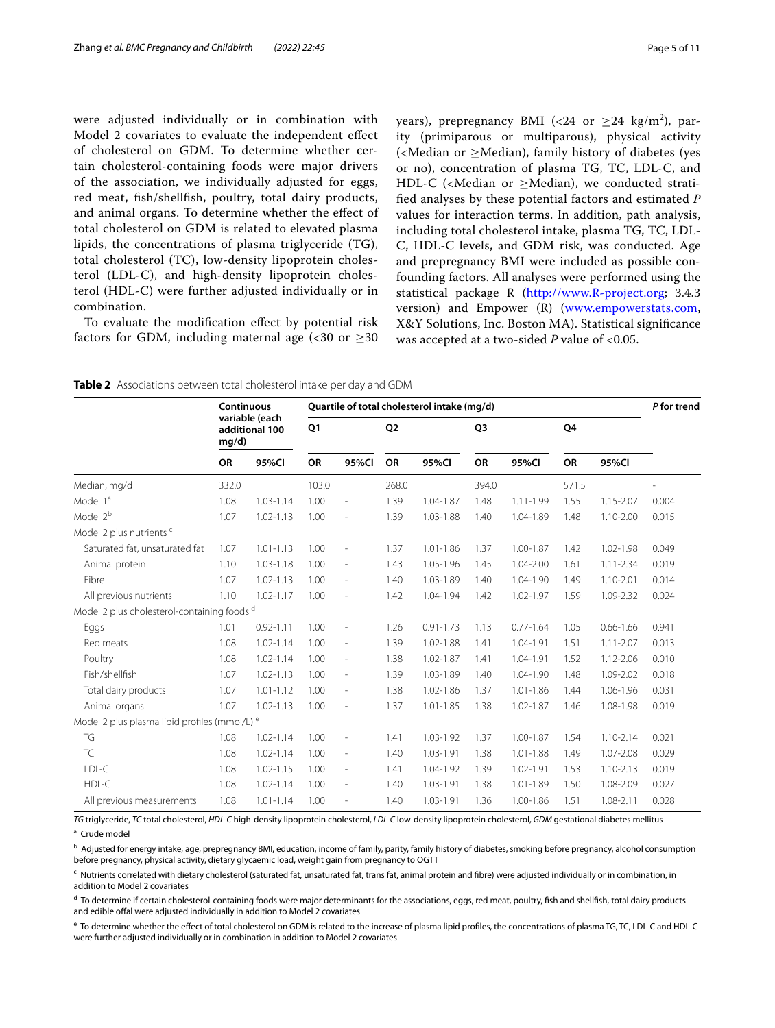were adjusted individually or in combination with Model 2 covariates to evaluate the independent efect of cholesterol on GDM. To determine whether certain cholesterol-containing foods were major drivers of the association, we individually adjusted for eggs, red meat, fsh/shellfsh, poultry, total dairy products, and animal organs. To determine whether the efect of total cholesterol on GDM is related to elevated plasma lipids, the concentrations of plasma triglyceride (TG), total cholesterol (TC), low-density lipoprotein cholesterol (LDL-C), and high-density lipoprotein cholesterol (HDL-C) were further adjusted individually or in combination.

To evaluate the modifcation efect by potential risk factors for GDM, including maternal age  $\langle$  <30 or  $\geq$ 30

years), prepregnancy BMI (<24 or  $\geq$ 24 kg/m<sup>2</sup>), parity (primiparous or multiparous), physical activity (<Median or  $\geq$ Median), family history of diabetes (yes or no), concentration of plasma TG, TC, LDL-C, and HDL-C (<Median or  $\geq$ Median), we conducted stratifed analyses by these potential factors and estimated *P* values for interaction terms. In addition, path analysis, including total cholesterol intake, plasma TG, TC, LDL-C, HDL-C levels, and GDM risk, was conducted. Age and prepregnancy BMI were included as possible confounding factors. All analyses were performed using the statistical package R ([http://www.R-project.org;](http://www.r-project.org) 3.4.3 version) and Empower (R) [\(www.empowerstats.com](http://www.empowerstats.com), X&Y Solutions, Inc. Boston MA). Statistical signifcance was accepted at a two-sided *P* value of <0.05.

<span id="page-4-0"></span>**Table 2** Associations between total cholesterol intake per day and GDM

|                                                          | Continuous<br>variable (each<br>additional 100<br>mg/d) |               | Quartile of total cholesterol intake (mq/d) |                          |                |               |                |               |       |               |       |
|----------------------------------------------------------|---------------------------------------------------------|---------------|---------------------------------------------|--------------------------|----------------|---------------|----------------|---------------|-------|---------------|-------|
|                                                          |                                                         |               | Q <sub>1</sub>                              |                          | Q <sub>2</sub> |               | Q <sub>3</sub> |               | Q4    |               |       |
|                                                          | <b>OR</b>                                               | 95%CI         | <b>OR</b>                                   | 95%CI                    | <b>OR</b>      | 95%CI         | <b>OR</b>      | 95%CI         | OR    | 95%CI         |       |
| Median, mg/d                                             | 332.0                                                   |               | 103.0                                       |                          | 268.0          |               | 394.0          |               | 571.5 |               |       |
| Model 1ª                                                 | 1.08                                                    | $1.03 - 1.14$ | 1.00                                        | $\overline{\phantom{a}}$ | 1.39           | 1.04-1.87     | 1.48           | $1.11 - 1.99$ | 1.55  | $1.15 - 2.07$ | 0.004 |
| Model 2 <sup>b</sup>                                     | 1.07                                                    | $1.02 - 1.13$ | 1.00                                        | $\overline{\phantom{a}}$ | 1.39           | 1.03-1.88     | 1.40           | 1.04-1.89     | 1.48  | $1.10 - 2.00$ | 0.015 |
| Model 2 plus nutrients <sup>c</sup>                      |                                                         |               |                                             |                          |                |               |                |               |       |               |       |
| Saturated fat, unsaturated fat                           | 1.07                                                    | $1.01 - 1.13$ | 1.00                                        | $\overline{\phantom{a}}$ | 1.37           | $1.01 - 1.86$ | 1.37           | 1.00-1.87     | 1.42  | 1.02-1.98     | 0.049 |
| Animal protein                                           | 1.10                                                    | $1.03 - 1.18$ | 1.00                                        | $\overline{\phantom{a}}$ | 1.43           | 1.05-1.96     | 1.45           | 1.04-2.00     | 1.61  | $1.11 - 2.34$ | 0.019 |
| Fibre                                                    | 1.07                                                    | $1.02 - 1.13$ | 1.00                                        | $\overline{\phantom{a}}$ | 1.40           | 1.03-1.89     | 1.40           | 1.04-1.90     | 1.49  | 1.10-2.01     | 0.014 |
| All previous nutrients                                   | 1.10                                                    | $1.02 - 1.17$ | 1.00                                        | $\overline{\phantom{a}}$ | 1.42           | 1.04-1.94     | 1.42           | 1.02-1.97     | 1.59  | 1.09-2.32     | 0.024 |
| Model 2 plus cholesterol-containing foods d              |                                                         |               |                                             |                          |                |               |                |               |       |               |       |
| Eggs                                                     | 1.01                                                    | $0.92 - 1.11$ | 1.00                                        | $\overline{\phantom{a}}$ | 1.26           | $0.91 - 1.73$ | 1.13           | $0.77 - 1.64$ | 1.05  | $0.66 - 1.66$ | 0.941 |
| Red meats                                                | 1.08                                                    | $1.02 - 1.14$ | 1.00                                        | $\overline{\phantom{a}}$ | 1.39           | 1.02-1.88     | 1.41           | 1.04-1.91     | 1.51  | $1.11 - 2.07$ | 0.013 |
| Poultry                                                  | 1.08                                                    | $1.02 - 1.14$ | 1.00                                        | $\overline{\phantom{a}}$ | 1.38           | 1.02-1.87     | 1.41           | 1.04-1.91     | 1.52  | 1.12-2.06     | 0.010 |
| Fish/shellfish                                           | 1.07                                                    | $1.02 - 1.13$ | 1.00                                        | $\overline{\phantom{a}}$ | 1.39           | 1.03-1.89     | 1.40           | 1.04-1.90     | 1.48  | 1.09-2.02     | 0.018 |
| Total dairy products                                     | 1.07                                                    | $1.01 - 1.12$ | 1.00                                        | $\overline{\phantom{a}}$ | 1.38           | 1.02-1.86     | 1.37           | $1.01 - 1.86$ | 1.44  | 1.06-1.96     | 0.031 |
| Animal organs                                            | 1.07                                                    | $1.02 - 1.13$ | 1.00                                        | $\overline{\phantom{a}}$ | 1.37           | $1.01 - 1.85$ | 1.38           | 1.02-1.87     | 1.46  | 1.08-1.98     | 0.019 |
| Model 2 plus plasma lipid profiles (mmol/L) <sup>e</sup> |                                                         |               |                                             |                          |                |               |                |               |       |               |       |
| TG                                                       | 1.08                                                    | $1.02 - 1.14$ | 1.00                                        | $\overline{\phantom{a}}$ | 1.41           | 1.03-1.92     | 1.37           | 1.00-1.87     | 1.54  | $1.10 - 2.14$ | 0.021 |
| <b>TC</b>                                                | 1.08                                                    | $1.02 - 1.14$ | 1.00                                        | $\overline{\phantom{a}}$ | 1.40           | 1.03-1.91     | 1.38           | 1.01-1.88     | 1.49  | 1.07-2.08     | 0.029 |
| LDL-C                                                    | 1.08                                                    | 1.02-1.15     | 1.00                                        | $\overline{\phantom{a}}$ | 1.41           | 1.04-1.92     | 1.39           | 1.02-1.91     | 1.53  | $1.10 - 2.13$ | 0.019 |
| HDL-C                                                    | 1.08                                                    | $1.02 - 1.14$ | 1.00                                        | $\overline{\phantom{a}}$ | 1.40           | 1.03-1.91     | 1.38           | 1.01-1.89     | 1.50  | 1.08-2.09     | 0.027 |
| All previous measurements                                | 1.08                                                    | $1.01 - 1.14$ | 1.00                                        | $\overline{\phantom{a}}$ | 1.40           | 1.03-1.91     | 1.36           | 1.00-1.86     | 1.51  | 1.08-2.11     | 0.028 |

*TG* triglyceride, *TC* total cholesterol, *HDL-C* high-density lipoprotein cholesterol, *LDL-C* low-density lipoprotein cholesterol, *GDM* gestational diabetes mellitus <sup>a</sup> Crude model

<sup>c</sup> Nutrients correlated with dietary cholesterol (saturated fat, unsaturated fat, trans fat, animal protein and fibre) were adjusted individually or in combination, in addition to Model 2 covariates

<sup>d</sup> To determine if certain cholesterol-containing foods were major determinants for the associations, eggs, red meat, poultry, fish and shellfish, total dairy products and edible offal were adjusted individually in addition to Model 2 covariates

<sup>e</sup> To determine whether the effect of total cholesterol on GDM is related to the increase of plasma lipid profiles, the concentrations of plasma TG, TC, LDL-C and HDL-C were further adjusted individually or in combination in addition to Model 2 covariates

**b** Adjusted for energy intake, age, prepregnancy BMI, education, income of family, parity, family history of diabetes, smoking before pregnancy, alcohol consumption before pregnancy, physical activity, dietary glycaemic load, weight gain from pregnancy to OGTT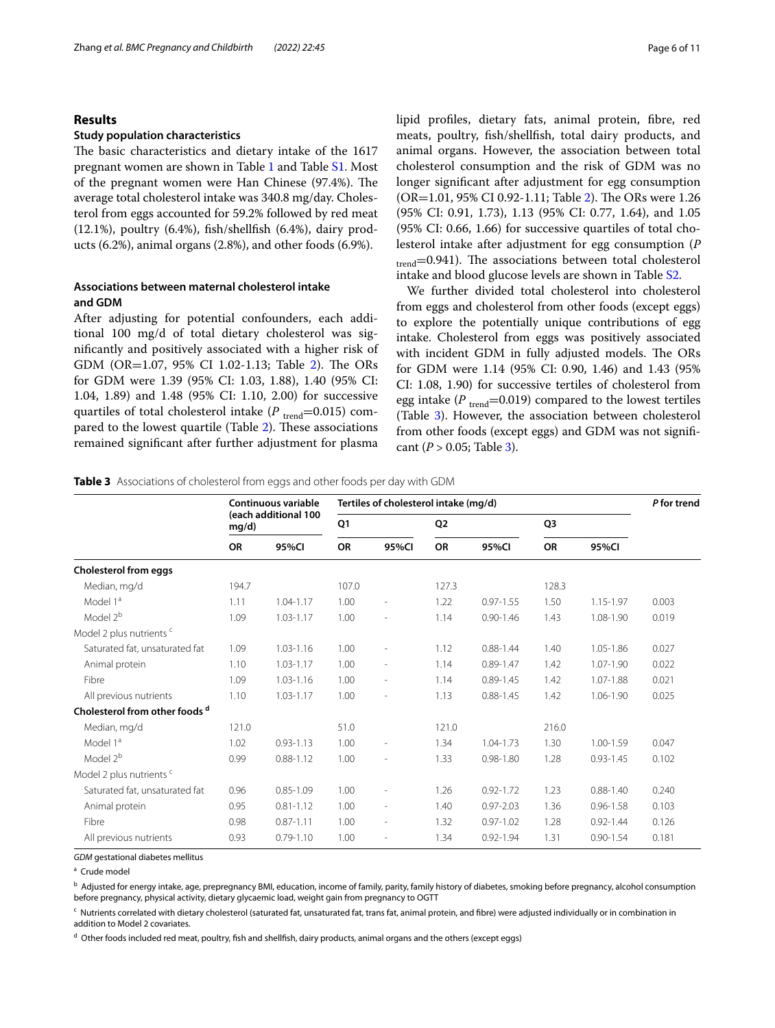# **Results**

# **Study population characteristics**

The basic characteristics and dietary intake of the 1617 pregnant women are shown in Table [1](#page-3-0) and Table [S1.](#page-9-11) Most of the pregnant women were Han Chinese (97.4%). The average total cholesterol intake was 340.8 mg/day. Cholesterol from eggs accounted for 59.2% followed by red meat (12.1%), poultry (6.4%), fsh/shellfsh (6.4%), dairy products (6.2%), animal organs (2.8%), and other foods (6.9%).

# **Associations between maternal cholesterol intake and GDM**

After adjusting for potential confounders, each additional 100 mg/d of total dietary cholesterol was signifcantly and positively associated with a higher risk of GDM (OR= $1.07$ , 95% CI 1.0[2](#page-4-0)-1.13; Table 2). The ORs for GDM were 1.39 (95% CI: 1.03, 1.88), 1.40 (95% CI: 1.04, 1.89) and 1.48 (95% CI: 1.10, 2.00) for successive quartiles of total cholesterol intake (P<sub>trend</sub>=0.015) com-pared to the lowest quartile (Table [2](#page-4-0)). These associations remained signifcant after further adjustment for plasma lipid profles, dietary fats, animal protein, fbre, red meats, poultry, fsh/shellfsh, total dairy products, and animal organs. However, the association between total cholesterol consumption and the risk of GDM was no longer signifcant after adjustment for egg consumption  $(OR=1.01, 95\% \text{ CI } 0.92-1.11; \text{Table 2}).$  $(OR=1.01, 95\% \text{ CI } 0.92-1.11; \text{Table 2}).$  $(OR=1.01, 95\% \text{ CI } 0.92-1.11; \text{Table 2}).$  The ORs were 1.26 (95% CI: 0.91, 1.73), 1.13 (95% CI: 0.77, 1.64), and 1.05 (95% CI: 0.66, 1.66) for successive quartiles of total cholesterol intake after adjustment for egg consumption (*P*  $t_{\text{trend}}$ =0.941). The associations between total cholesterol intake and blood glucose levels are shown in Table [S2.](#page-9-11)

We further divided total cholesterol into cholesterol from eggs and cholesterol from other foods (except eggs) to explore the potentially unique contributions of egg intake. Cholesterol from eggs was positively associated with incident GDM in fully adjusted models. The ORs for GDM were 1.14 (95% CI: 0.90, 1.46) and 1.43 (95% CI: 1.08, 1.90) for successive tertiles of cholesterol from egg intake ( $P_{\text{trend}}$ =0.019) compared to the lowest tertiles (Table [3\)](#page-5-0). However, the association between cholesterol from other foods (except eggs) and GDM was not signifcant ( $P > 0.05$ ; Table [3](#page-5-0)).

<span id="page-5-0"></span>**Table 3** Associations of cholesterol from eggs and other foods per day with GDM

| Continuous variable<br>(each additional 100<br>mg/d) |               |       | P for trend              |                |               |                                       |               |       |
|------------------------------------------------------|---------------|-------|--------------------------|----------------|---------------|---------------------------------------|---------------|-------|
|                                                      |               | Q1    |                          | Q <sub>2</sub> |               | Q <sub>3</sub>                        |               |       |
| <b>OR</b>                                            | 95%CI         | OR    | 95%CI                    | <b>OR</b>      | 95%CI         | OR                                    | 95%CI         |       |
|                                                      |               |       |                          |                |               |                                       |               |       |
| 194.7                                                |               | 107.0 |                          | 127.3          |               | 128.3                                 |               |       |
| 1.11                                                 | $1.04 - 1.17$ | 1.00  | $\overline{a}$           | 1.22           | $0.97 - 1.55$ | 1.50                                  | 1.15-1.97     | 0.003 |
| 1.09                                                 | $1.03 - 1.17$ | 1.00  | ٠                        | 1.14           | $0.90 - 1.46$ | 1.43                                  | 1.08-1.90     | 0.019 |
|                                                      |               |       |                          |                |               |                                       |               |       |
| 1.09                                                 | $1.03 - 1.16$ | 1.00  |                          | 1.12           | $0.88 - 1.44$ | 1.40                                  | 1.05-1.86     | 0.027 |
| 1.10                                                 | $1.03 - 1.17$ | 1.00  | $\overline{\phantom{a}}$ | 1.14           | $0.89 - 1.47$ | 1.42                                  | 1.07-1.90     | 0.022 |
| 1.09                                                 | 1.03-1.16     | 1.00  | $\overline{\phantom{a}}$ | 1.14           | $0.89 - 1.45$ | 1.42                                  | 1.07-1.88     | 0.021 |
| 1.10                                                 | 1.03-1.17     | 1.00  |                          | 1.13           | $0.88 - 1.45$ | 1.42                                  | 1.06-1.90     | 0.025 |
|                                                      |               |       |                          |                |               |                                       |               |       |
| 121.0                                                |               | 51.0  |                          | 121.0          |               | 216.0                                 |               |       |
| 1.02                                                 | $0.93 - 1.13$ | 1.00  | ٠                        | 1.34           | 1.04-1.73     | 1.30                                  | 1.00-1.59     | 0.047 |
| 0.99                                                 | $0.88 - 1.12$ | 1.00  |                          | 1.33           | $0.98 - 1.80$ | 1.28                                  | $0.93 - 1.45$ | 0.102 |
|                                                      |               |       |                          |                |               |                                       |               |       |
| 0.96                                                 | $0.85 - 1.09$ | 1.00  |                          | 1.26           | $0.92 - 1.72$ | 1.23                                  | $0.88 - 1.40$ | 0.240 |
| 0.95                                                 | $0.81 - 1.12$ | 1.00  | $\overline{\phantom{a}}$ | 1.40           | $0.97 - 2.03$ | 1.36                                  | $0.96 - 1.58$ | 0.103 |
| 0.98                                                 | $0.87 - 1.11$ | 1.00  | $\overline{\phantom{a}}$ | 1.32           | $0.97 - 1.02$ | 1.28                                  | $0.92 - 1.44$ | 0.126 |
| 0.93                                                 | $0.79 - 1.10$ | 1.00  | $\overline{\phantom{a}}$ | 1.34           | $0.92 - 1.94$ | 1.31                                  | $0.90 - 1.54$ | 0.181 |
|                                                      |               |       |                          |                |               | Tertiles of cholesterol intake (mg/d) |               |       |

*GDM* gestational diabetes mellitus

<sup>a</sup> Crude model

**b** Adjusted for energy intake, age, prepregnancy BMI, education, income of family, parity, family history of diabetes, smoking before pregnancy, alcohol consumption before pregnancy, physical activity, dietary glycaemic load, weight gain from pregnancy to OGTT

<sup>c</sup> Nutrients correlated with dietary cholesterol (saturated fat, unsaturated fat, trans fat, animal protein, and fibre) were adjusted individually or in combination in addition to Model 2 covariates.

<sup>d</sup> Other foods included red meat, poultry, fish and shellfish, dairy products, animal organs and the others (except eggs)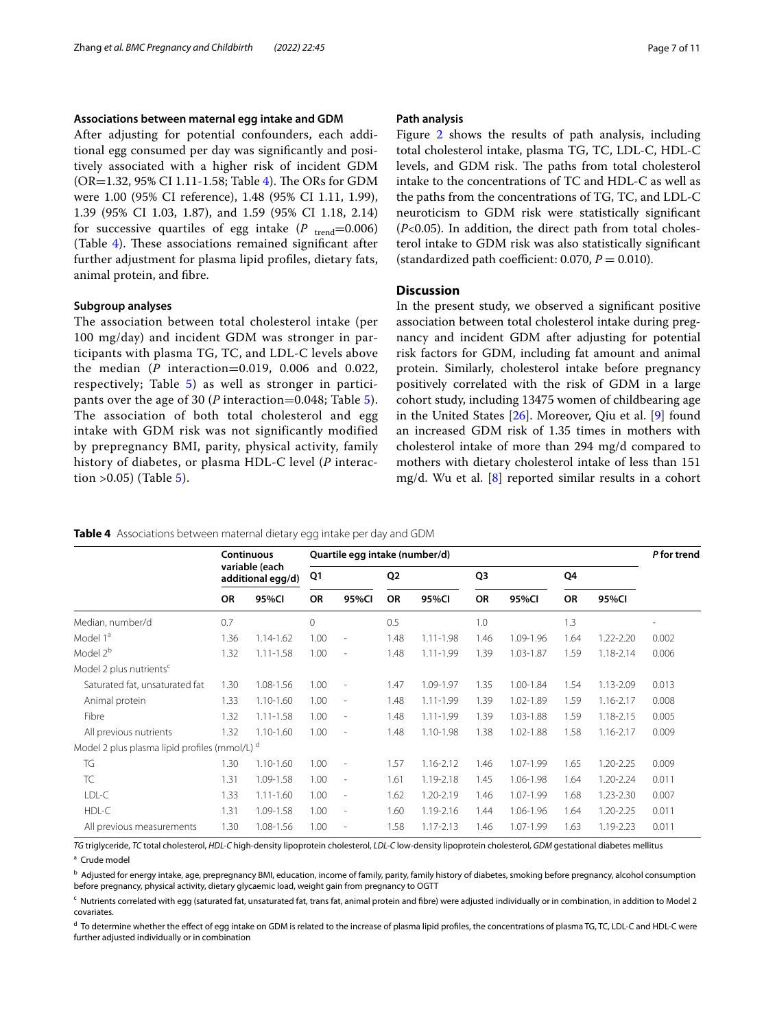# **Associations between maternal egg intake and GDM**

After adjusting for potential confounders, each additional egg consumed per day was signifcantly and positively associated with a higher risk of incident GDM  $(OR=1.32, 95\% \text{ CI } 1.11-1.58$ ; Table [4](#page-6-0)). The ORs for GDM were 1.00 (95% CI reference), 1.48 (95% CI 1.11, 1.99), 1.39 (95% CI 1.03, 1.87), and 1.59 (95% CI 1.18, 2.14) for successive quartiles of egg intake  $(P_{\text{trend}}=0.006)$ (Table [4](#page-6-0)). These associations remained significant after further adjustment for plasma lipid profles, dietary fats, animal protein, and fbre.

### **Subgroup analyses**

The association between total cholesterol intake (per 100 mg/day) and incident GDM was stronger in participants with plasma TG, TC, and LDL-C levels above the median (*P* interaction=0.019, 0.006 and 0.022, respectively; Table [5\)](#page-7-0) as well as stronger in participants over the age of 30 (*P* interaction=0.048; Table [5\)](#page-7-0). The association of both total cholesterol and egg intake with GDM risk was not significantly modified by prepregnancy BMI, parity, physical activity, family history of diabetes, or plasma HDL-C level (*P* interaction  $>0.05$  $>0.05$ ) (Table 5).

# **Path analysis**

Figure [2](#page-8-0) shows the results of path analysis, including total cholesterol intake, plasma TG, TC, LDL-C, HDL-C levels, and GDM risk. The paths from total cholesterol intake to the concentrations of TC and HDL-C as well as the paths from the concentrations of TG, TC, and LDL-C neuroticism to GDM risk were statistically signifcant (*P*<0.05). In addition, the direct path from total cholesterol intake to GDM risk was also statistically signifcant (standardized path coefficient:  $0.070$ ,  $P = 0.010$ ).

# **Discussion**

In the present study, we observed a signifcant positive association between total cholesterol intake during pregnancy and incident GDM after adjusting for potential risk factors for GDM, including fat amount and animal protein. Similarly, cholesterol intake before pregnancy positively correlated with the risk of GDM in a large cohort study, including 13475 women of childbearing age in the United States [\[26](#page-10-12)]. Moreover, Qiu et al. [\[9](#page-9-8)] found an increased GDM risk of 1.35 times in mothers with cholesterol intake of more than 294 mg/d compared to mothers with dietary cholesterol intake of less than 151 mg/d. Wu et al. [\[8](#page-9-7)] reported similar results in a cohort

<span id="page-6-0"></span>

| Table 4 Associations between maternal dietary egg intake per day and GDM |  |  |  |  |
|--------------------------------------------------------------------------|--|--|--|--|
|                                                                          |  |  |  |  |

|                                                          | <b>Continuous</b><br>variable (each<br>additional egg/d) |               | Quartile egg intake (number/d) | P for trend              |                |               |                |               |           |               |                |
|----------------------------------------------------------|----------------------------------------------------------|---------------|--------------------------------|--------------------------|----------------|---------------|----------------|---------------|-----------|---------------|----------------|
|                                                          |                                                          |               | Q1                             |                          | Q <sub>2</sub> |               | Q <sub>3</sub> |               | Q4        |               |                |
|                                                          | <b>OR</b>                                                | 95%CI         | <b>OR</b>                      | 95%CI                    | <b>OR</b>      | 95%CI         | <b>OR</b>      | 95%CI         | <b>OR</b> | 95%CI         |                |
| Median, number/d                                         | 0.7                                                      |               | 0                              |                          | 0.5            |               | 1.0            |               | 1.3       |               | $\overline{a}$ |
| Model 1 <sup>a</sup>                                     | 1.36                                                     | 1.14-1.62     | 1.00                           | $\overline{\phantom{a}}$ | 1.48           | $1.11 - 1.98$ | 1.46           | 1.09-1.96     | 1.64      | $1.22 - 2.20$ | 0.002          |
| Model 2 <sup>b</sup>                                     | 1.32                                                     | $1.11 - 1.58$ | 1.00                           | $\overline{\phantom{a}}$ | 1.48           | 1.11-1.99     | 1.39           | 1.03-1.87     | 1.59      | 1.18-2.14     | 0.006          |
| Model 2 plus nutrients <sup>c</sup>                      |                                                          |               |                                |                          |                |               |                |               |           |               |                |
| Saturated fat, unsaturated fat                           | 1.30                                                     | 1.08-1.56     | 1.00                           | $\overline{\phantom{a}}$ | 1.47           | 1.09-1.97     | 1.35           | 1.00-1.84     | 1.54      | 1.13-2.09     | 0.013          |
| Animal protein                                           | 1.33                                                     | $1.10 - 1.60$ | 1.00                           | $\overline{\phantom{a}}$ | 1.48           | 1.11-1.99     | 1.39           | 1.02-1.89     | 1.59      | 1.16-2.17     | 0.008          |
| Fibre                                                    | 1.32                                                     | $1.11 - 1.58$ | 1.00                           | $\overline{\phantom{a}}$ | 1.48           | 1.11-1.99     | 1.39           | 1.03-1.88     | 1.59      | 1.18-2.15     | 0.005          |
| All previous nutrients                                   | 1.32                                                     | $1.10 - 1.60$ | 1.00                           | $\overline{\phantom{a}}$ | 1.48           | 1.10-1.98     | 1.38           | $1.02 - 1.88$ | 1.58      | 1.16-2.17     | 0.009          |
| Model 2 plus plasma lipid profiles (mmol/L) <sup>d</sup> |                                                          |               |                                |                          |                |               |                |               |           |               |                |
| TG                                                       | 1.30                                                     | $1.10 - 1.60$ | 1.00                           | $\overline{\phantom{a}}$ | 1.57           | 1.16-2.12     | 1.46           | 1.07-1.99     | 1.65      | 1.20-2.25     | 0.009          |
| <b>TC</b>                                                | 1.31                                                     | 1.09-1.58     | 1.00                           | $\overline{\phantom{a}}$ | 1.61           | 1.19-2.18     | 1.45           | 1.06-1.98     | 1.64      | $1.20 - 2.24$ | 0.011          |
| LDL-C                                                    | 1.33                                                     | $1.11 - 1.60$ | 1.00                           | $\overline{\phantom{a}}$ | 1.62           | 1.20-2.19     | 1.46           | 1.07-1.99     | 1.68      | 1.23-2.30     | 0.007          |
| HDL-C                                                    | 1.31                                                     | 1.09-1.58     | 1.00                           | $\overline{\phantom{a}}$ | 1.60           | 1.19-2.16     | 1.44           | 1.06-1.96     | 1.64      | 1.20-2.25     | 0.011          |
| All previous measurements                                | 1.30                                                     | 1.08-1.56     | 1.00                           | $\overline{\phantom{a}}$ | 1.58           | 1.17-2.13     | 1.46           | 1.07-1.99     | 1.63      | 1.19-2.23     | 0.011          |

*TG* triglyceride, *TC* total cholesterol, *HDL-C* high-density lipoprotein cholesterol, *LDL-C* low-density lipoprotein cholesterol, *GDM* gestational diabetes mellitus <sup>a</sup> Crude model

**b** Adjusted for energy intake, age, prepregnancy BMI, education, income of family, parity, family history of diabetes, smoking before pregnancy, alcohol consumption before pregnancy, physical activity, dietary glycaemic load, weight gain from pregnancy to OGTT

<sup>c</sup> Nutrients correlated with egg (saturated fat, unsaturated fat, trans fat, animal protein and fibre) were adjusted individually or in combination, in addition to Model 2 covariates.

<sup>d</sup> To determine whether the effect of egg intake on GDM is related to the increase of plasma lipid profiles, the concentrations of plasma TG, TC, LDL-C and HDL-C were further adjusted individually or in combination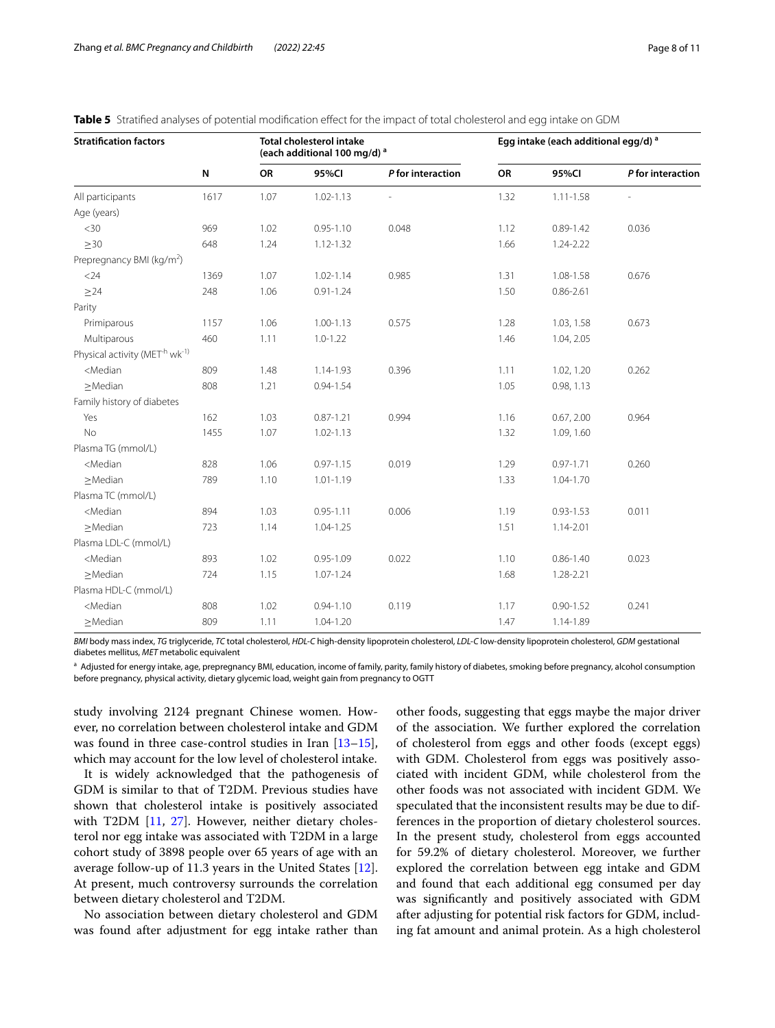| <b>Stratification factors</b>                                                                                                                                 |      |      | <b>Total cholesterol intake</b><br>(each additional 100 mg/d) <sup>a</sup> |                   | Egg intake (each additional egg/d) <sup>a</sup> |               |                   |  |  |
|---------------------------------------------------------------------------------------------------------------------------------------------------------------|------|------|----------------------------------------------------------------------------|-------------------|-------------------------------------------------|---------------|-------------------|--|--|
|                                                                                                                                                               | N    | OR   | 95%CI                                                                      | P for interaction | OR                                              | 95%CI         | P for interaction |  |  |
| All participants                                                                                                                                              | 1617 | 1.07 | $1.02 - 1.13$                                                              |                   | 1.32                                            | $1.11 - 1.58$ |                   |  |  |
| Age (years)                                                                                                                                                   |      |      |                                                                            |                   |                                                 |               |                   |  |  |
| <30                                                                                                                                                           | 969  | 1.02 | $0.95 - 1.10$                                                              | 0.048             | 1.12                                            | $0.89 - 1.42$ | 0.036             |  |  |
| $\geq$ 30                                                                                                                                                     | 648  | 1.24 | $1.12 - 1.32$                                                              |                   | 1.66                                            | 1.24-2.22     |                   |  |  |
| Prepregnancy BMI (kg/m <sup>2</sup> )                                                                                                                         |      |      |                                                                            |                   |                                                 |               |                   |  |  |
| $<$ 24                                                                                                                                                        | 1369 | 1.07 | $1.02 - 1.14$                                                              | 0.985             | 1.31                                            | 1.08-1.58     | 0.676             |  |  |
| $\geq$ 24                                                                                                                                                     | 248  | 1.06 | $0.91 - 1.24$                                                              |                   | 1.50                                            | $0.86 - 2.61$ |                   |  |  |
| Parity                                                                                                                                                        |      |      |                                                                            |                   |                                                 |               |                   |  |  |
| Primiparous                                                                                                                                                   | 1157 | 1.06 | $1.00 - 1.13$                                                              | 0.575             | 1.28                                            | 1.03, 1.58    | 0.673             |  |  |
| Multiparous                                                                                                                                                   | 460  | 1.11 | $1.0 - 1.22$                                                               |                   | 1.46                                            | 1.04, 2.05    |                   |  |  |
| Physical activity (MET <sup>-h</sup> wk <sup>-1)</sup>                                                                                                        |      |      |                                                                            |                   |                                                 |               |                   |  |  |
| <median< td=""><td>809</td><td>1.48</td><td>1.14-1.93</td><td>0.396</td><td>1.11</td><td>1.02, 1.20</td><td>0.262</td></median<>                              | 809  | 1.48 | 1.14-1.93                                                                  | 0.396             | 1.11                                            | 1.02, 1.20    | 0.262             |  |  |
| $\geq$ Median                                                                                                                                                 | 808  | 1.21 | $0.94 - 1.54$                                                              |                   | 1.05                                            | 0.98, 1.13    |                   |  |  |
| Family history of diabetes                                                                                                                                    |      |      |                                                                            |                   |                                                 |               |                   |  |  |
| Yes                                                                                                                                                           | 162  | 1.03 | $0.87 - 1.21$                                                              | 0.994             | 1.16                                            | 0.67, 2.00    | 0.964             |  |  |
| <b>No</b>                                                                                                                                                     | 1455 | 1.07 | $1.02 - 1.13$                                                              |                   | 1.32                                            | 1.09, 1.60    |                   |  |  |
| Plasma TG (mmol/L)                                                                                                                                            |      |      |                                                                            |                   |                                                 |               |                   |  |  |
| <median< td=""><td>828</td><td>1.06</td><td><math>0.97 - 1.15</math></td><td>0.019</td><td>1.29</td><td><math>0.97 - 1.71</math></td><td>0.260</td></median<> | 828  | 1.06 | $0.97 - 1.15$                                                              | 0.019             | 1.29                                            | $0.97 - 1.71$ | 0.260             |  |  |
| $\geq$ Median                                                                                                                                                 | 789  | 1.10 | 1.01-1.19                                                                  |                   | 1.33                                            | 1.04-1.70     |                   |  |  |
| Plasma TC (mmol/L)                                                                                                                                            |      |      |                                                                            |                   |                                                 |               |                   |  |  |
| <median< td=""><td>894</td><td>1.03</td><td><math>0.95 - 1.11</math></td><td>0.006</td><td>1.19</td><td><math>0.93 - 1.53</math></td><td>0.011</td></median<> | 894  | 1.03 | $0.95 - 1.11$                                                              | 0.006             | 1.19                                            | $0.93 - 1.53$ | 0.011             |  |  |
| $\geq$ Median                                                                                                                                                 | 723  | 1.14 | $1.04 - 1.25$                                                              |                   | 1.51                                            | 1.14-2.01     |                   |  |  |
| Plasma LDL-C (mmol/L)                                                                                                                                         |      |      |                                                                            |                   |                                                 |               |                   |  |  |
| <median< td=""><td>893</td><td>1.02</td><td><math>0.95 - 1.09</math></td><td>0.022</td><td>1.10</td><td><math>0.86 - 1.40</math></td><td>0.023</td></median<> | 893  | 1.02 | $0.95 - 1.09$                                                              | 0.022             | 1.10                                            | $0.86 - 1.40$ | 0.023             |  |  |
| $\geq$ Median                                                                                                                                                 | 724  | 1.15 | $1.07 - 1.24$                                                              |                   | 1.68                                            | 1.28-2.21     |                   |  |  |
| Plasma HDL-C (mmol/L)                                                                                                                                         |      |      |                                                                            |                   |                                                 |               |                   |  |  |
| <median< td=""><td>808</td><td>1.02</td><td><math>0.94 - 1.10</math></td><td>0.119</td><td>1.17</td><td><math>0.90 - 1.52</math></td><td>0.241</td></median<> | 808  | 1.02 | $0.94 - 1.10$                                                              | 0.119             | 1.17                                            | $0.90 - 1.52$ | 0.241             |  |  |
| >Median                                                                                                                                                       | 809  | 1.11 | 1.04-1.20                                                                  |                   | 1.47                                            | 1.14-1.89     |                   |  |  |

<span id="page-7-0"></span>**Table 5** Stratified analyses of potential modification effect for the impact of total cholesterol and egg intake on GDM

*BMI* body mass index, *TG* triglyceride, *TC* total cholesterol, *HDL-C* high-density lipoprotein cholesterol, *LDL-C* low-density lipoprotein cholesterol, *GDM* gestational diabetes mellitus, *MET* metabolic equivalent

a Adjusted for energy intake, age, prepregnancy BMI, education, income of family, parity, family history of diabetes, smoking before pregnancy, alcohol consumption before pregnancy, physical activity, dietary glycemic load, weight gain from pregnancy to OGTT

study involving 2124 pregnant Chinese women. However, no correlation between cholesterol intake and GDM was found in three case-control studies in Iran [[13](#page-10-3)[–15](#page-10-1)], which may account for the low level of cholesterol intake.

It is widely acknowledged that the pathogenesis of GDM is similar to that of T2DM. Previous studies have shown that cholesterol intake is positively associated with T2DM [[11,](#page-9-10) [27](#page-10-13)]. However, neither dietary cholesterol nor egg intake was associated with T2DM in a large cohort study of 3898 people over 65 years of age with an average follow-up of 11.3 years in the United States [\[12](#page-10-0)]. At present, much controversy surrounds the correlation between dietary cholesterol and T2DM.

No association between dietary cholesterol and GDM was found after adjustment for egg intake rather than other foods, suggesting that eggs maybe the major driver of the association. We further explored the correlation of cholesterol from eggs and other foods (except eggs) with GDM. Cholesterol from eggs was positively associated with incident GDM, while cholesterol from the other foods was not associated with incident GDM. We speculated that the inconsistent results may be due to differences in the proportion of dietary cholesterol sources. In the present study, cholesterol from eggs accounted for 59.2% of dietary cholesterol. Moreover, we further explored the correlation between egg intake and GDM and found that each additional egg consumed per day was signifcantly and positively associated with GDM after adjusting for potential risk factors for GDM, including fat amount and animal protein. As a high cholesterol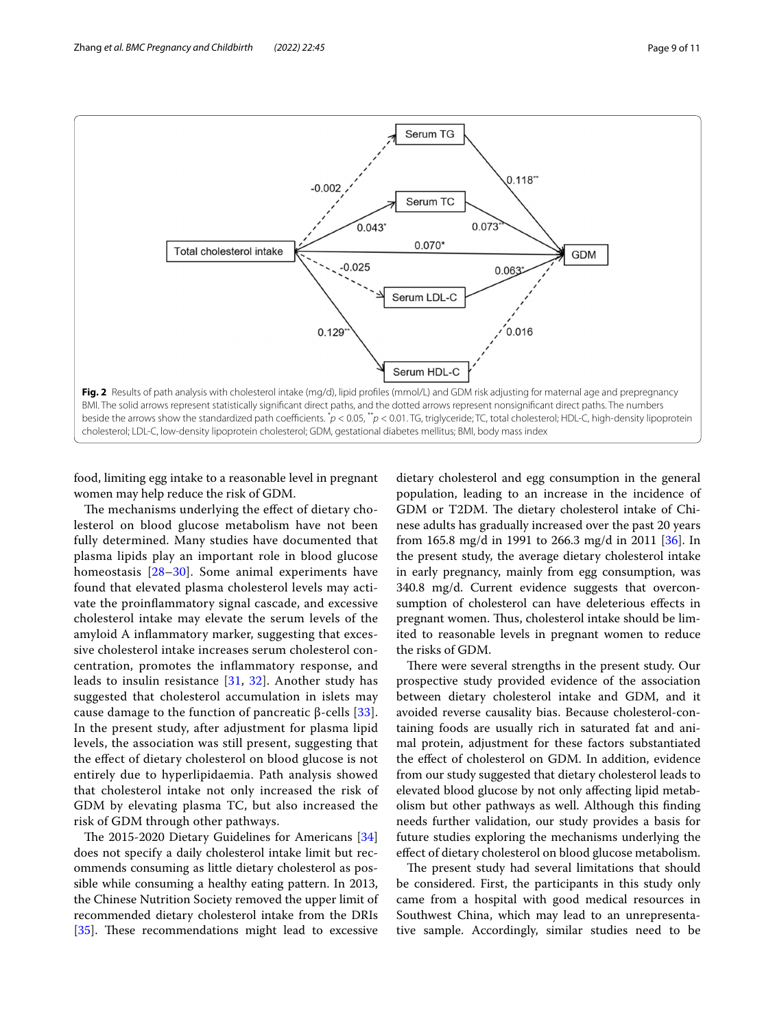

<span id="page-8-0"></span>food, limiting egg intake to a reasonable level in pregnant women may help reduce the risk of GDM.

The mechanisms underlying the effect of dietary cholesterol on blood glucose metabolism have not been fully determined. Many studies have documented that plasma lipids play an important role in blood glucose homeostasis [[28–](#page-10-14)[30\]](#page-10-15). Some animal experiments have found that elevated plasma cholesterol levels may activate the proinfammatory signal cascade, and excessive cholesterol intake may elevate the serum levels of the amyloid A infammatory marker, suggesting that excessive cholesterol intake increases serum cholesterol concentration, promotes the infammatory response, and leads to insulin resistance [\[31,](#page-10-16) [32\]](#page-10-17). Another study has suggested that cholesterol accumulation in islets may cause damage to the function of pancreatic β-cells  $[33]$  $[33]$  $[33]$ . In the present study, after adjustment for plasma lipid levels, the association was still present, suggesting that the efect of dietary cholesterol on blood glucose is not entirely due to hyperlipidaemia. Path analysis showed that cholesterol intake not only increased the risk of GDM by elevating plasma TC, but also increased the risk of GDM through other pathways.

The 2015-2020 Dietary Guidelines for Americans [[34](#page-10-19)] does not specify a daily cholesterol intake limit but recommends consuming as little dietary cholesterol as possible while consuming a healthy eating pattern. In 2013, the Chinese Nutrition Society removed the upper limit of recommended dietary cholesterol intake from the DRIs [ $35$ ]. These recommendations might lead to excessive

dietary cholesterol and egg consumption in the general population, leading to an increase in the incidence of GDM or T2DM. The dietary cholesterol intake of Chinese adults has gradually increased over the past 20 years from 165.8 mg/d in 1991 to 266.3 mg/d in 2011 [\[36](#page-10-21)]. In the present study, the average dietary cholesterol intake in early pregnancy, mainly from egg consumption, was 340.8 mg/d. Current evidence suggests that overconsumption of cholesterol can have deleterious efects in pregnant women. Thus, cholesterol intake should be limited to reasonable levels in pregnant women to reduce the risks of GDM.

There were several strengths in the present study. Our prospective study provided evidence of the association between dietary cholesterol intake and GDM, and it avoided reverse causality bias. Because cholesterol-containing foods are usually rich in saturated fat and animal protein, adjustment for these factors substantiated the efect of cholesterol on GDM. In addition, evidence from our study suggested that dietary cholesterol leads to elevated blood glucose by not only afecting lipid metabolism but other pathways as well. Although this fnding needs further validation, our study provides a basis for future studies exploring the mechanisms underlying the efect of dietary cholesterol on blood glucose metabolism.

The present study had several limitations that should be considered. First, the participants in this study only came from a hospital with good medical resources in Southwest China, which may lead to an unrepresentative sample. Accordingly, similar studies need to be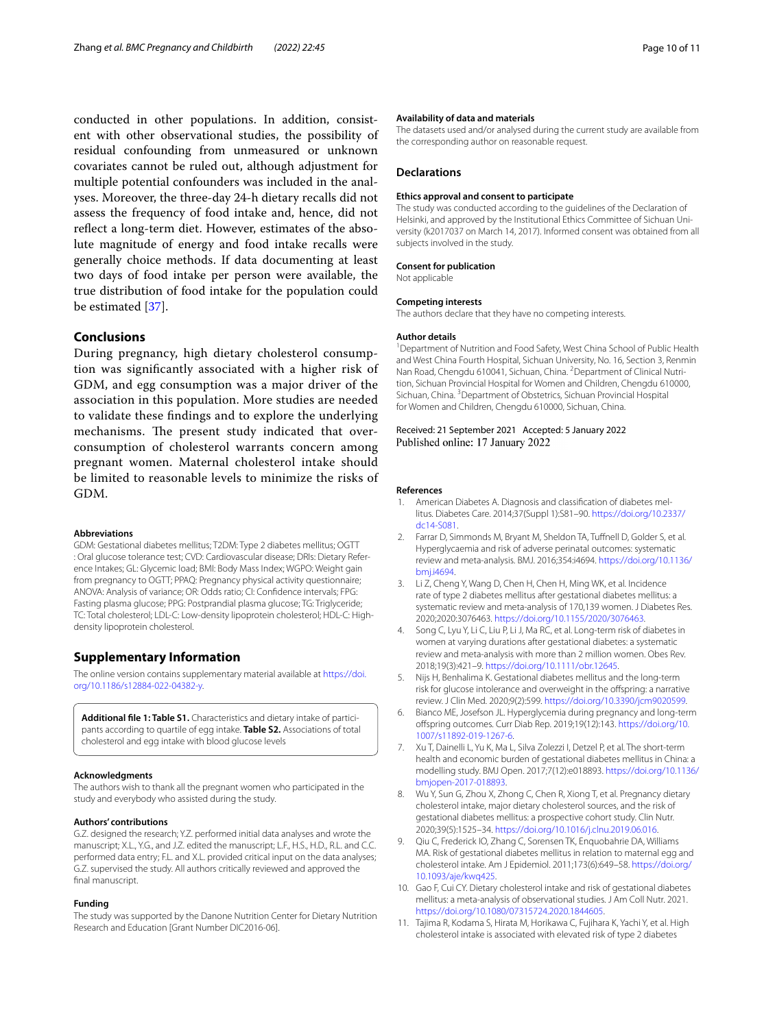conducted in other populations. In addition, consistent with other observational studies, the possibility of residual confounding from unmeasured or unknown covariates cannot be ruled out, although adjustment for multiple potential confounders was included in the analyses. Moreover, the three-day 24-h dietary recalls did not assess the frequency of food intake and, hence, did not refect a long-term diet. However, estimates of the absolute magnitude of energy and food intake recalls were generally choice methods. If data documenting at least two days of food intake per person were available, the true distribution of food intake for the population could be estimated [\[37\]](#page-10-22).

# **Conclusions**

During pregnancy, high dietary cholesterol consumption was signifcantly associated with a higher risk of GDM, and egg consumption was a major driver of the association in this population. More studies are needed to validate these fndings and to explore the underlying mechanisms. The present study indicated that overconsumption of cholesterol warrants concern among pregnant women. Maternal cholesterol intake should be limited to reasonable levels to minimize the risks of GDM.

#### **Abbreviations**

GDM: Gestational diabetes mellitus; T2DM: Type 2 diabetes mellitus; OGTT : Oral glucose tolerance test; CVD: Cardiovascular disease; DRIs: Dietary Reference Intakes; GL: Glycemic load; BMI: Body Mass Index; WGPO: Weight gain from pregnancy to OGTT; PPAQ: Pregnancy physical activity questionnaire; ANOVA: Analysis of variance; OR: Odds ratio; CI: Confdence intervals; FPG: Fasting plasma glucose; PPG: Postprandial plasma glucose; TG: Triglyceride; TC: Total cholesterol; LDL-C: Low-density lipoprotein cholesterol; HDL-C: Highdensity lipoprotein cholesterol.

# **Supplementary Information**

The online version contains supplementary material available at [https://doi.](https://doi.org/10.1186/s12884-022-04382-y) [org/10.1186/s12884-022-04382-y.](https://doi.org/10.1186/s12884-022-04382-y)

<span id="page-9-11"></span>**Additional fle 1: Table S1.** Characteristics and dietary intake of participants according to quartile of egg intake. **Table S2.** Associations of total cholesterol and egg intake with blood glucose levels

#### **Acknowledgments**

The authors wish to thank all the pregnant women who participated in the study and everybody who assisted during the study.

# **Authors' contributions**

G.Z. designed the research; Y.Z. performed initial data analyses and wrote the manuscript; X.L., Y.G., and J.Z. edited the manuscript; L.F., H.S., H.D., R.L. and C.C. performed data entry; F.L. and X.L. provided critical input on the data analyses; G.Z. supervised the study. All authors critically reviewed and approved the final manuscript.

#### **Funding**

The study was supported by the Danone Nutrition Center for Dietary Nutrition Research and Education [Grant Number DIC2016-06].

#### **Availability of data and materials**

The datasets used and/or analysed during the current study are available from the corresponding author on reasonable request.

## **Declarations**

### **Ethics approval and consent to participate**

The study was conducted according to the guidelines of the Declaration of Helsinki, and approved by the Institutional Ethics Committee of Sichuan University (k2017037 on March 14, 2017). Informed consent was obtained from all subjects involved in the study.

#### **Consent for publication**

Not applicable

#### **Competing interests**

The authors declare that they have no competing interests.

## **Author details**

<sup>1</sup> Department of Nutrition and Food Safety, West China School of Public Health and West China Fourth Hospital, Sichuan University, No. 16, Section 3, Renmin Nan Road, Chengdu 610041, Sichuan, China. <sup>2</sup> Department of Clinical Nutrition, Sichuan Provincial Hospital for Women and Children, Chengdu 610000, Sichuan, China. <sup>3</sup> Department of Obstetrics, Sichuan Provincial Hospital for Women and Children, Chengdu 610000, Sichuan, China.

Received: 21 September 2021 Accepted: 5 January 2022 Published online: 17 January 2022

#### **References**

- <span id="page-9-0"></span>1. American Diabetes A. Diagnosis and classifcation of diabetes mellitus. Diabetes Care. 2014;37(Suppl 1):S81–90. [https://doi.org/10.2337/](https://doi.org/10.2337/dc14-S081) [dc14-S081](https://doi.org/10.2337/dc14-S081).
- <span id="page-9-1"></span>2. Farrar D, Simmonds M, Bryant M, Sheldon TA, Tuffnell D, Golder S, et al. Hyperglycaemia and risk of adverse perinatal outcomes: systematic review and meta-analysis. BMJ. 2016;354:i4694. [https://doi.org/10.1136/](https://doi.org/10.1136/bmj.i4694) [bmj.i4694](https://doi.org/10.1136/bmj.i4694).
- <span id="page-9-2"></span>3. Li Z, Cheng Y, Wang D, Chen H, Chen H, Ming WK, et al. Incidence rate of type 2 diabetes mellitus after gestational diabetes mellitus: a systematic review and meta-analysis of 170,139 women. J Diabetes Res. 2020;2020:3076463. [https://doi.org/10.1155/2020/3076463.](https://doi.org/10.1155/2020/3076463)
- <span id="page-9-3"></span>4. Song C, Lyu Y, Li C, Liu P, Li J, Ma RC, et al. Long-term risk of diabetes in women at varying durations after gestational diabetes: a systematic review and meta-analysis with more than 2 million women. Obes Rev. 2018;19(3):421–9. [https://doi.org/10.1111/obr.12645.](https://doi.org/10.1111/obr.12645)
- <span id="page-9-4"></span>5. Nijs H, Benhalima K. Gestational diabetes mellitus and the long-term risk for glucose intolerance and overweight in the offspring: a narrative review. J Clin Med. 2020;9(2):599. <https://doi.org/10.3390/jcm9020599>.
- <span id="page-9-5"></span>6. Bianco ME, Josefson JL. Hyperglycemia during pregnancy and long-term ofspring outcomes. Curr Diab Rep. 2019;19(12):143. [https://doi.org/10.](https://doi.org/10.1007/s11892-019-1267-6) [1007/s11892-019-1267-6](https://doi.org/10.1007/s11892-019-1267-6).
- <span id="page-9-6"></span>7. Xu T, Dainelli L, Yu K, Ma L, Silva Zolezzi I, Detzel P, et al. The short-term health and economic burden of gestational diabetes mellitus in China: a modelling study. BMJ Open. 2017;7(12):e018893. [https://doi.org/10.1136/](https://doi.org/10.1136/bmjopen-2017-018893) [bmjopen-2017-018893](https://doi.org/10.1136/bmjopen-2017-018893).
- <span id="page-9-7"></span>8. Wu Y, Sun G, Zhou X, Zhong C, Chen R, Xiong T, et al. Pregnancy dietary cholesterol intake, major dietary cholesterol sources, and the risk of gestational diabetes mellitus: a prospective cohort study. Clin Nutr. 2020;39(5):1525–34. [https://doi.org/10.1016/j.clnu.2019.06.016.](https://doi.org/10.1016/j.clnu.2019.06.016)
- <span id="page-9-8"></span>Qiu C, Frederick IO, Zhang C, Sorensen TK, Enquobahrie DA, Williams MA. Risk of gestational diabetes mellitus in relation to maternal egg and cholesterol intake. Am J Epidemiol. 2011;173(6):649–58. [https://doi.org/](https://doi.org/10.1093/aje/kwq425) [10.1093/aje/kwq425.](https://doi.org/10.1093/aje/kwq425)
- <span id="page-9-9"></span>10. Gao F, Cui CY. Dietary cholesterol intake and risk of gestational diabetes mellitus: a meta-analysis of observational studies. J Am Coll Nutr. 2021. [https://doi.org/10.1080/07315724.2020.1844605.](https://doi.org/10.1080/07315724.2020.1844605)
- <span id="page-9-10"></span>11. Tajima R, Kodama S, Hirata M, Horikawa C, Fujihara K, Yachi Y, et al. High cholesterol intake is associated with elevated risk of type 2 diabetes